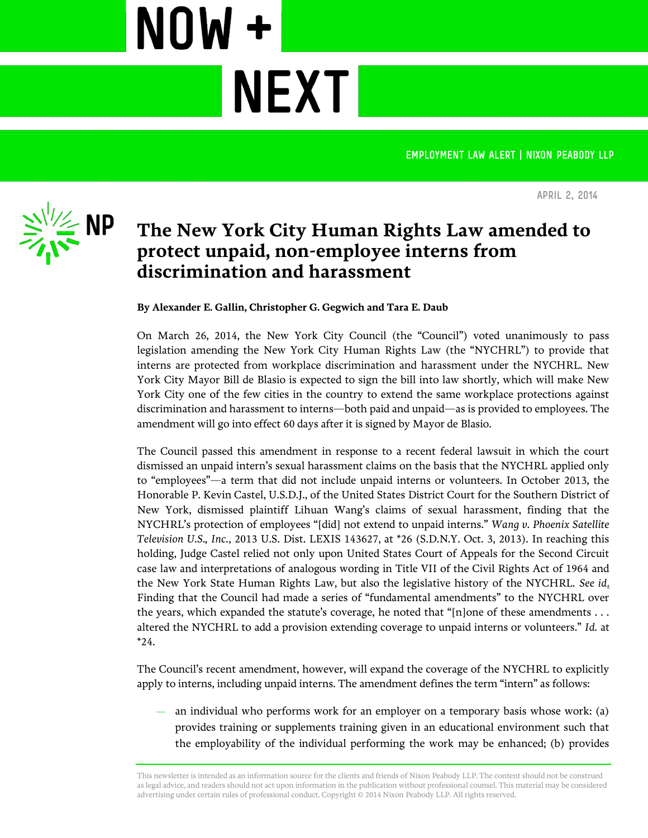**Employment law alert | Nixon Peabody LLP**



**April 2, 2014**

## **The New York City Human Rights Law amended to protect unpaid, non-employee interns from discrimination and harassment**

**By Alexander E. Gallin, Christopher G. Gegwich and Tara E. Daub**

**NEXT** 

NOW+

On March 26, 2014, the New York City Council (the "Council") voted unanimously to pass legislation amending the New York City Human Rights Law (the "NYCHRL") to provide that interns are protected from workplace discrimination and harassment under the NYCHRL. New York City Mayor Bill de Blasio is expected to sign the bill into law shortly, which will make New York City one of the few cities in the country to extend the same workplace protections against discrimination and harassment to interns—both paid and unpaid—as is provided to employees. The amendment will go into effect 60 days after it is signed by Mayor de Blasio.

The Council passed this amendment in response to a recent federal lawsuit in which the court dismissed an unpaid intern's sexual harassment claims on the basis that the NYCHRL applied only to "employees"—a term that did not include unpaid interns or volunteers. In October 2013, the Honorable P. Kevin Castel, U.S.D.J., of the United States District Court for the Southern District of New York, dismissed plaintiff Lihuan Wang's claims of sexual harassment, finding that the NYCHRL's protection of employees "[did] not extend to unpaid interns." *Wang v. Phoenix Satellite Television U.S., Inc.*, 2013 U.S. Dist. LEXIS 143627, at \*26 (S.D.N.Y. Oct. 3, 2013). In reaching this holding, Judge Castel relied not only upon United States Court of Appeals for the Second Circuit case law and interpretations of analogous wording in Title VII of the Civil Rights Act of 1964 and the New York State Human Rights Law, but also the legislative history of the NYCHRL. *See id*. Finding that the Council had made a series of "fundamental amendments" to the NYCHRL over the years, which expanded the statute's coverage, he noted that "[n]one of these amendments . . . altered the NYCHRL to add a provision extending coverage to unpaid interns or volunteers." *Id.* at \*24.

The Council's recent amendment, however, will expand the coverage of the NYCHRL to explicitly apply to interns, including unpaid interns. The amendment defines the term "intern" as follows:

— an individual who performs work for an employer on a temporary basis whose work: (a) provides training or supplements training given in an educational environment such that the employability of the individual performing the work may be enhanced; (b) provides

This newsletter is intended as an information source for the clients and friends of Nixon Peabody LLP. The content should not be construed as legal advice, and readers should not act upon information in the publication without professional counsel. This material may be considered advertising under certain rules of professional conduct. Copyright © 2014 Nixon Peabody LLP. All rights reserved.